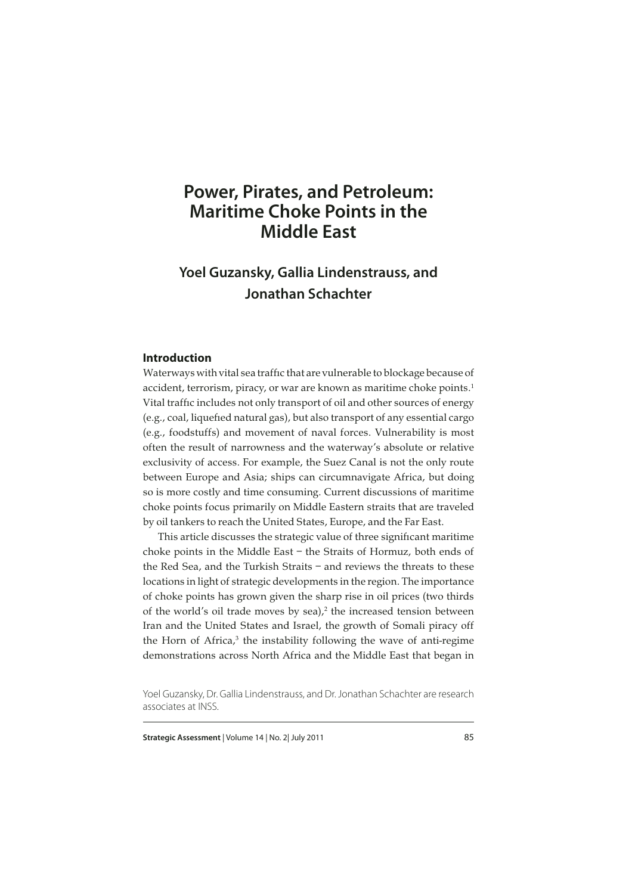# **Power, Pirates, and Petroleum: Maritime Choke Points in the Middle East**

## **Yoel Guzansky, Gallia Lindenstrauss, and Jonathan Schachter**

## **Introduction**

Waterways with vital sea traffic that are vulnerable to blockage because of accident, terrorism, piracy, or war are known as maritime choke points.<sup>1</sup> Vital traffic includes not only transport of oil and other sources of energy (e.g., coal, liquefied natural gas), but also transport of any essential cargo (e.g., foodstuffs) and movement of naval forces. Vulnerability is most often the result of narrowness and the waterway's absolute or relative exclusivity of access. For example, the Suez Canal is not the only route between Europe and Asia; ships can circumnavigate Africa, but doing so is more costly and time consuming. Current discussions of maritime choke points focus primarily on Middle Eastern straits that are traveled by oil tankers to reach the United States, Europe, and the Far East.

This article discusses the strategic value of three significant maritime choke points in the Middle East – the Straits of Hormuz, both ends of the Red Sea, and the Turkish Straits – and reviews the threats to these locations in light of strategic developments in the region. The importance of choke points has grown given the sharp rise in oil prices (two thirds of the world's oil trade moves by sea), $2$  the increased tension between Iran and the United States and Israel, the growth of Somali piracy off the Horn of Africa,<sup>3</sup> the instability following the wave of anti-regime demonstrations across North Africa and the Middle East that began in

**Strategic Assessment** | Volume 14 | No. 2 | July 2011 **85** 

Yoel Guzansky, Dr. Gallia Lindenstrauss, and Dr. Jonathan Schachter are research associates at INSS.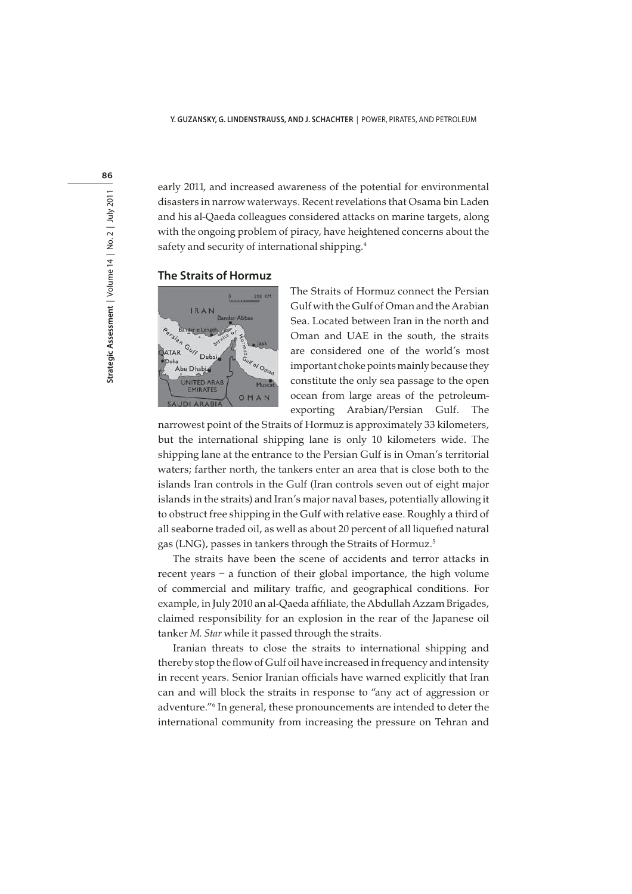early 2011, and increased awareness of the potential for environmental disasters in narrow waterways. Recent revelations that Osama bin Laden and his al-Qaeda colleagues considered attacks on marine targets, along with the ongoing problem of piracy, have heightened concerns about the safety and security of international shipping.4

### **The Straits of Hormuz**



The Straits of Hormuz connect the Persian Gulf with the Gulf of Oman and the Arabian Sea. Located between Iran in the north and Oman and UAE in the south, the straits are considered one of the world's most important choke points mainly because they constitute the only sea passage to the open ocean from large areas of the petroleumexporting Arabian/Persian Gulf. The

narrowest point of the Straits of Hormuz is approximately 33 kilometers, but the international shipping lane is only 10 kilometers wide. The shipping lane at the entrance to the Persian Gulf is in Oman's territorial waters; farther north, the tankers enter an area that is close both to the islands Iran controls in the Gulf (Iran controls seven out of eight major islands in the straits) and Iran's major naval bases, potentially allowing it to obstruct free shipping in the Gulf with relative ease. Roughly a third of all seaborne traded oil, as well as about 20 percent of all liquefied natural gas (LNG), passes in tankers through the Straits of Hormuz.5

The straits have been the scene of accidents and terror attacks in recent years – a function of their global importance, the high volume of commercial and military traffic, and geographical conditions. For example, in July 2010 an al-Qaeda affiliate, the Abdullah Azzam Brigades, claimed responsibility for an explosion in the rear of the Japanese oil tanker M. Star while it passed through the straits.

Iranian threats to close the straits to international shipping and thereby stop the flow of Gulf oil have increased in frequency and intensity in recent years. Senior Iranian officials have warned explicitly that Iran can and will block the straits in response to "any act of aggression or adventure."6 In general, these pronouncements are intended to deter the international community from increasing the pressure on Tehran and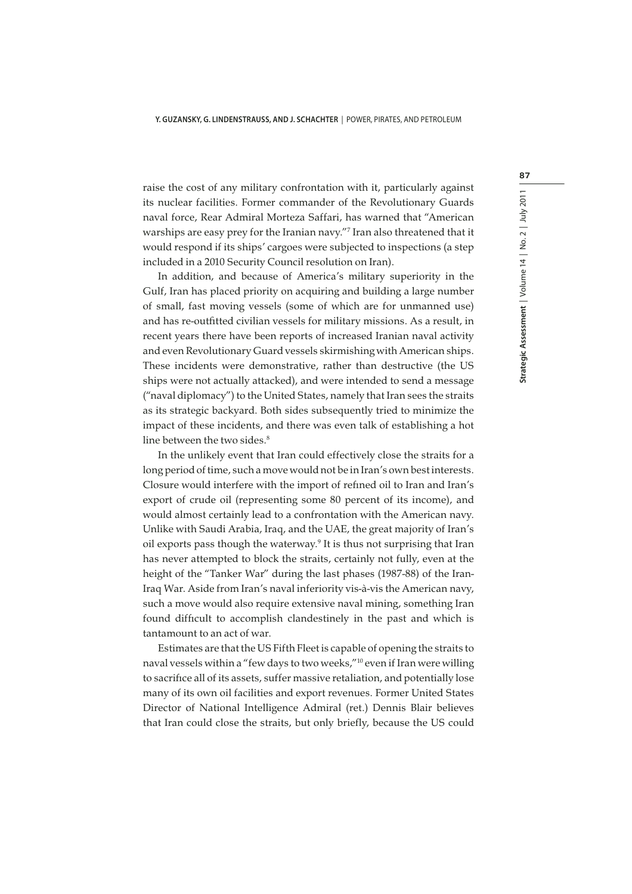raise the cost of any military confrontation with it, particularly against its nuclear facilities. Former commander of the Revolutionary Guards naval force, Rear Admiral Morteza Saffari, has warned that "American warships are easy prey for the Iranian navy."7 Iran also threatened that it would respond if its ships' cargoes were subjected to inspections (a step included in a 2010 Security Council resolution on Iran).

In addition, and because of America's military superiority in the Gulf, Iran has placed priority on acquiring and building a large number of small, fast moving vessels (some of which are for unmanned use) and has re-outfitted civilian vessels for military missions. As a result, in recent years there have been reports of increased Iranian naval activity and even Revolutionary Guard vessels skirmishing with American ships. These incidents were demonstrative, rather than destructive (the US ships were not actually attacked), and were intended to send a message ("naval diplomacy") to the United States, namely that Iran sees the straits as its strategic backyard. Both sides subsequently tried to minimize the impact of these incidents, and there was even talk of establishing a hot line between the two sides.<sup>8</sup>

In the unlikely event that Iran could effectively close the straits for a long period of time, such a move would not be in Iran's own best interests. Closure would interfere with the import of refined oil to Iran and Iran's export of crude oil (representing some 80 percent of its income), and would almost certainly lead to a confrontation with the American navy. Unlike with Saudi Arabia, Iraq, and the UAE, the great majority of Iran's oil exports pass though the waterway.<sup>9</sup> It is thus not surprising that Iran has never attempted to block the straits, certainly not fully, even at the height of the "Tanker War" during the last phases (1987-88) of the Iran-Iraq War. Aside from Iran's naval inferiority vis-à-vis the American navy, such a move would also require extensive naval mining, something Iran found difficult to accomplish clandestinely in the past and which is tantamount to an act of war.

Estimates are that the US Fifth Fleet is capable of opening the straits to naval vessels within a "few days to two weeks,"10 even if Iran were willing to sacrifice all of its assets, suffer massive retaliation, and potentially lose many of its own oil facilities and export revenues. Former United States Director of National Intelligence Admiral (ret.) Dennis Blair believes that Iran could close the straits, but only briefly, because the US could 87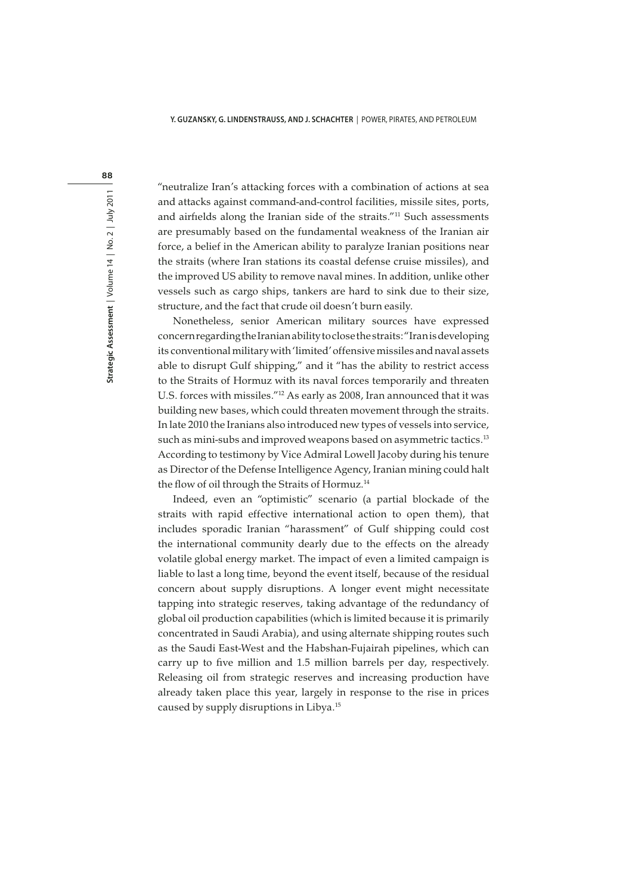88

"neutralize Iran's attacking forces with a combination of actions at sea and attacks against command-and-control facilities, missile sites, ports, and airfields along the Iranian side of the straits."11 Such assessments are presumably based on the fundamental weakness of the Iranian air force, a belief in the American ability to paralyze Iranian positions near the straits (where Iran stations its coastal defense cruise missiles), and the improved US ability to remove naval mines. In addition, unlike other vessels such as cargo ships, tankers are hard to sink due to their size, structure, and the fact that crude oil doesn't burn easily.

Nonetheless, senior American military sources have expressed concern regarding the Iranian ability to close the straits: "Iran is developing its conventional military with 'limited' offensive missiles and naval assets able to disrupt Gulf shipping," and it "has the ability to restrict access to the Straits of Hormuz with its naval forces temporarily and threaten U.S. forces with missiles."12 As early as 2008, Iran announced that it was building new bases, which could threaten movement through the straits. In late 2010 the Iranians also introduced new types of vessels into service, such as mini-subs and improved weapons based on asymmetric tactics.<sup>13</sup> According to testimony by Vice Admiral Lowell Jacoby during his tenure as Director of the Defense Intelligence Agency, Iranian mining could halt the flow of oil through the Straits of Hormuz.<sup>14</sup>

Indeed, even an "optimistic" scenario (a partial blockade of the straits with rapid effective international action to open them), that includes sporadic Iranian "harassment" of Gulf shipping could cost the international community dearly due to the effects on the already volatile global energy market. The impact of even a limited campaign is liable to last a long time, beyond the event itself, because of the residual concern about supply disruptions. A longer event might necessitate tapping into strategic reserves, taking advantage of the redundancy of global oil production capabilities (which is limited because it is primarily concentrated in Saudi Arabia), and using alternate shipping routes such as the Saudi East-West and the Habshan-Fujairah pipelines, which can carry up to five million and 1.5 million barrels per day, respectively. Releasing oil from strategic reserves and increasing production have already taken place this year, largely in response to the rise in prices caused by supply disruptions in Libya.15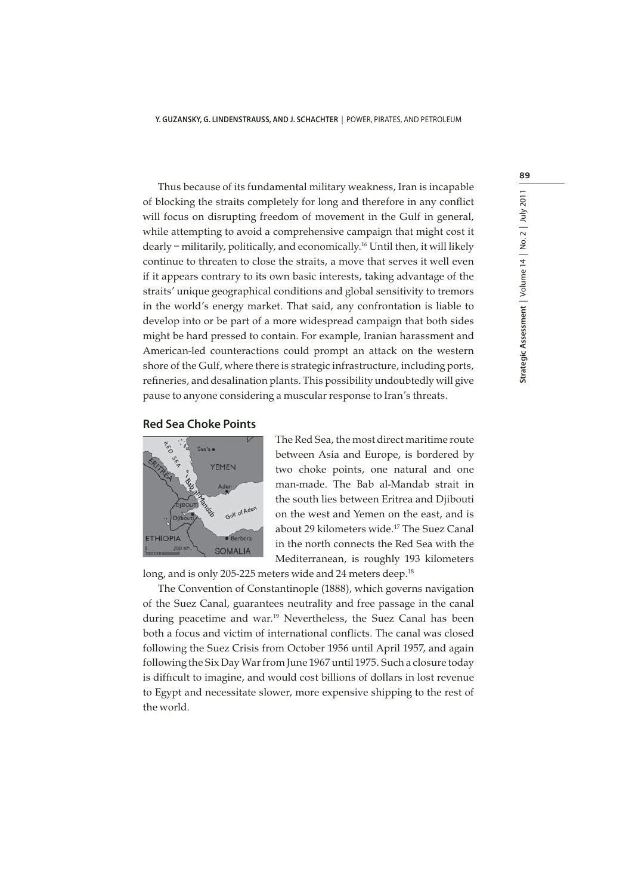Thus because of its fundamental military weakness, Iran is incapable of blocking the straits completely for long and therefore in any conflict will focus on disrupting freedom of movement in the Gulf in general, while attempting to avoid a comprehensive campaign that might cost it dearly – militarily, politically, and economically.16 Until then, it will likely continue to threaten to close the straits, a move that serves it well even if it appears contrary to its own basic interests, taking advantage of the straits' unique geographical conditions and global sensitivity to tremors in the world's energy market. That said, any confrontation is liable to develop into or be part of a more widespread campaign that both sides might be hard pressed to contain. For example, Iranian harassment and American-led counteractions could prompt an attack on the western shore of the Gulf, where there is strategic infrastructure, including ports, refineries, and desalination plants. This possibility undoubtedly will give pause to anyone considering a muscular response to Iran's threats.

## **Red Sea Choke Points**



The Red Sea, the most direct maritime route between Asia and Europe, is bordered by two choke points, one natural and one man-made. The Bab al-Mandab strait in the south lies between Eritrea and Djibouti on the west and Yemen on the east, and is about 29 kilometers wide.17 The Suez Canal in the north connects the Red Sea with the Mediterranean, is roughly 193 kilometers

long, and is only 205-225 meters wide and 24 meters deep.<sup>18</sup>

The Convention of Constantinople (1888), which governs navigation of the Suez Canal, guarantees neutrality and free passage in the canal during peacetime and war.<sup>19</sup> Nevertheless, the Suez Canal has been both a focus and victim of international conflicts. The canal was closed following the Suez Crisis from October 1956 until April 1957, and again following the Six Day War from June 1967 until 1975. Such a closure today is difficult to imagine, and would cost billions of dollars in lost revenue to Egypt and necessitate slower, more expensive shipping to the rest of the world.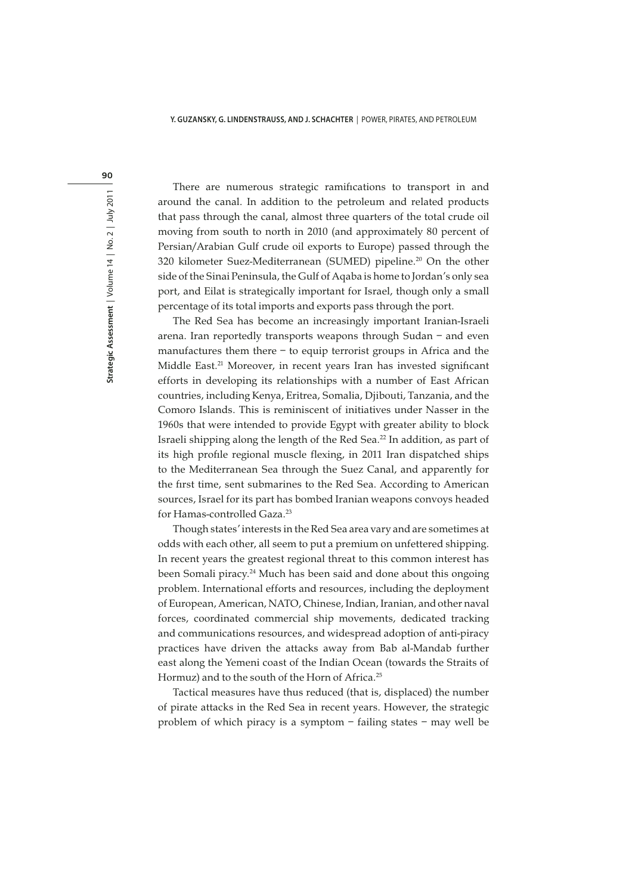90

There are numerous strategic ramifications to transport in and around the canal. In addition to the petroleum and related products that pass through the canal, almost three quarters of the total crude oil moving from south to north in 2010 (and approximately 80 percent of Persian/Arabian Gulf crude oil exports to Europe) passed through the 320 kilometer Suez-Mediterranean (SUMED) pipeline.<sup>20</sup> On the other side of the Sinai Peninsula, the Gulf of Aqaba is home to Jordan's only sea port, and Eilat is strategically important for Israel, though only a small percentage of its total imports and exports pass through the port.

The Red Sea has become an increasingly important Iranian-Israeli arena. Iran reportedly transports weapons through Sudan – and even manufactures them there – to equip terrorist groups in Africa and the Middle East.<sup>21</sup> Moreover, in recent years Iran has invested significant efforts in developing its relationships with a number of East African countries, including Kenya, Eritrea, Somalia, Djibouti, Tanzania, and the Comoro Islands. This is reminiscent of initiatives under Nasser in the 1960s that were intended to provide Egypt with greater ability to block Israeli shipping along the length of the Red Sea.22 In addition, as part of its high profile regional muscle flexing, in 2011 Iran dispatched ships to the Mediterranean Sea through the Suez Canal, and apparently for the first time, sent submarines to the Red Sea. According to American sources, Israel for its part has bombed Iranian weapons convoys headed for Hamas-controlled Gaza.<sup>23</sup>

Though states' interests in the Red Sea area vary and are sometimes at odds with each other, all seem to put a premium on unfettered shipping. In recent years the greatest regional threat to this common interest has been Somali piracy.<sup>24</sup> Much has been said and done about this ongoing problem. International efforts and resources, including the deployment of European, American, NATO, Chinese, Indian, Iranian, and other naval forces, coordinated commercial ship movements, dedicated tracking and communications resources, and widespread adoption of anti-piracy practices have driven the attacks away from Bab al-Mandab further east along the Yemeni coast of the Indian Ocean (towards the Straits of Hormuz) and to the south of the Horn of Africa.<sup>25</sup>

Tactical measures have thus reduced (that is, displaced) the number of pirate attacks in the Red Sea in recent years. However, the strategic problem of which piracy is a symptom – failing states – may well be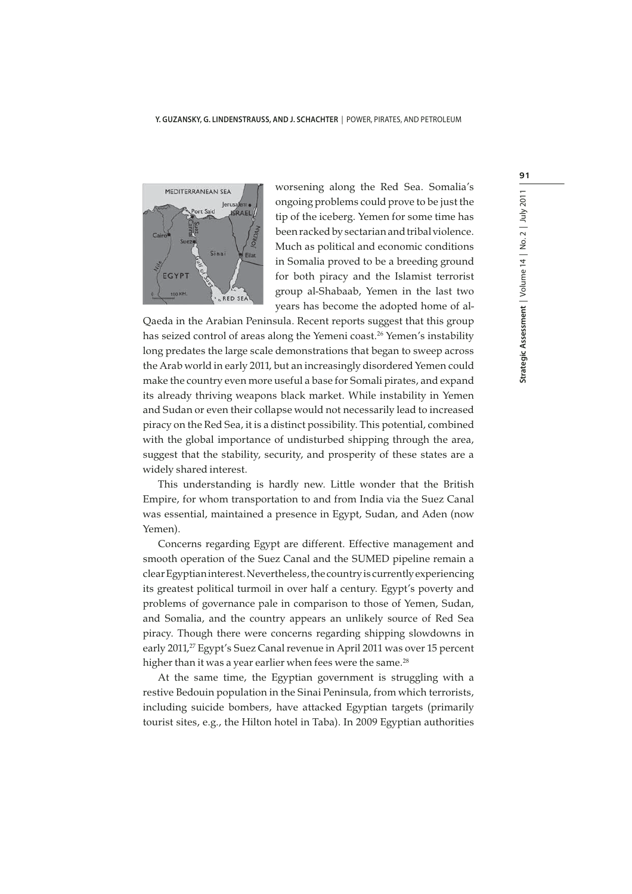

worsening along the Red Sea. Somalia's ongoing problems could prove to be just the tip of the iceberg. Yemen for some time has been racked by sectarian and tribal violence. Much as political and economic conditions in Somalia proved to be a breeding ground for both piracy and the Islamist terrorist group al-Shabaab, Yemen in the last two years has become the adopted home of al-

Qaeda in the Arabian Peninsula. Recent reports suggest that this group has seized control of areas along the Yemeni coast.<sup>26</sup> Yemen's instability long predates the large scale demonstrations that began to sweep across the Arab world in early 2011, but an increasingly disordered Yemen could make the country even more useful a base for Somali pirates, and expand its already thriving weapons black market. While instability in Yemen and Sudan or even their collapse would not necessarily lead to increased piracy on the Red Sea, it is a distinct possibility. This potential, combined with the global importance of undisturbed shipping through the area, suggest that the stability, security, and prosperity of these states are a widely shared interest.

This understanding is hardly new. Little wonder that the British Empire, for whom transportation to and from India via the Suez Canal was essential, maintained a presence in Egypt, Sudan, and Aden (now Yemen).

Concerns regarding Egypt are different. Effective management and smooth operation of the Suez Canal and the SUMED pipeline remain a clear Egyptian interest. Nevertheless, the country is currently experiencing its greatest political turmoil in over half a century. Egypt's poverty and problems of governance pale in comparison to those of Yemen, Sudan, and Somalia, and the country appears an unlikely source of Red Sea piracy. Though there were concerns regarding shipping slowdowns in early 2011,<sup>27</sup> Egypt's Suez Canal revenue in April 2011 was over 15 percent higher than it was a year earlier when fees were the same.<sup>28</sup>

At the same time, the Egyptian government is struggling with a restive Bedouin population in the Sinai Peninsula, from which terrorists, including suicide bombers, have attacked Egyptian targets (primarily tourist sites, e.g., the Hilton hotel in Taba). In 2009 Egyptian authorities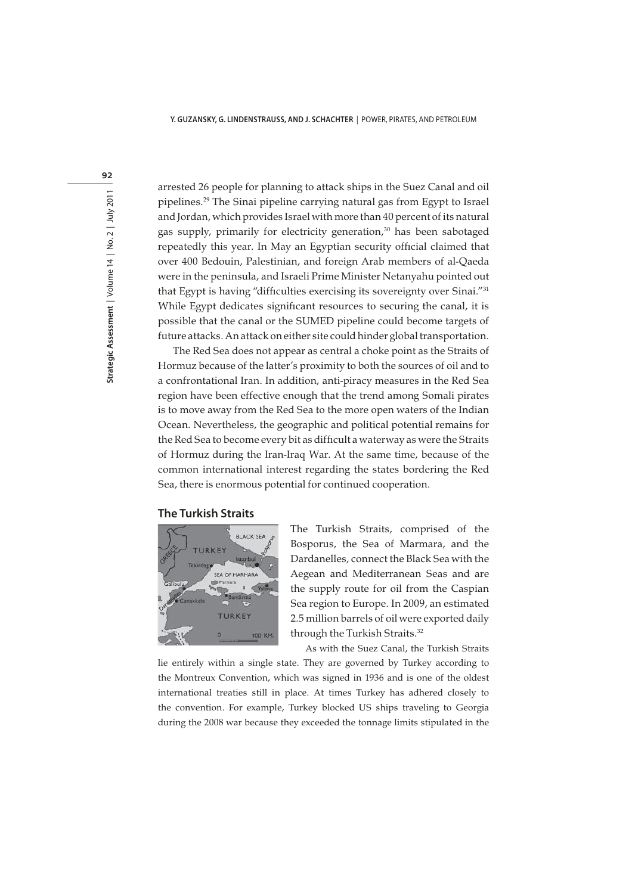arrested 26 people for planning to attack ships in the Suez Canal and oil pipelines.29 The Sinai pipeline carrying natural gas from Egypt to Israel and Jordan, which provides Israel with more than 40 percent of its natural gas supply, primarily for electricity generation,<sup>30</sup> has been sabotaged repeatedly this year. In May an Egyptian security official claimed that over 400 Bedouin, Palestinian, and foreign Arab members of al-Qaeda were in the peninsula, and Israeli Prime Minister Netanyahu pointed out that Egypt is having "difficulties exercising its sovereignty over Sinai."31 While Egypt dedicates significant resources to securing the canal, it is possible that the canal or the SUMED pipeline could become targets of future attacks. An attack on either site could hinder global transportation.

The Red Sea does not appear as central a choke point as the Straits of Hormuz because of the latter's proximity to both the sources of oil and to a confrontational Iran. In addition, anti-piracy measures in the Red Sea region have been effective enough that the trend among Somali pirates is to move away from the Red Sea to the more open waters of the Indian Ocean. Nevertheless, the geographic and political potential remains for the Red Sea to become every bit as difficult a waterway as were the Straits of Hormuz during the Iran-Iraq War. At the same time, because of the common international interest regarding the states bordering the Red Sea, there is enormous potential for continued cooperation.

## **The Turkish Straits**



The Turkish Straits, comprised of the Bosporus, the Sea of Marmara, and the Dardanelles, connect the Black Sea with the Aegean and Mediterranean Seas and are the supply route for oil from the Caspian Sea region to Europe. In 2009, an estimated 2.5 million barrels of oil were exported daily through the Turkish Straits.<sup>32</sup>

As with the Suez Canal, the Turkish Straits

lie entirely within a single state. They are governed by Turkey according to the Montreux Convention, which was signed in 1936 and is one of the oldest international treaties still in place. At times Turkey has adhered closely to the convention. For example, Turkey blocked US ships traveling to Georgia during the 2008 war because they exceeded the tonnage limits stipulated in the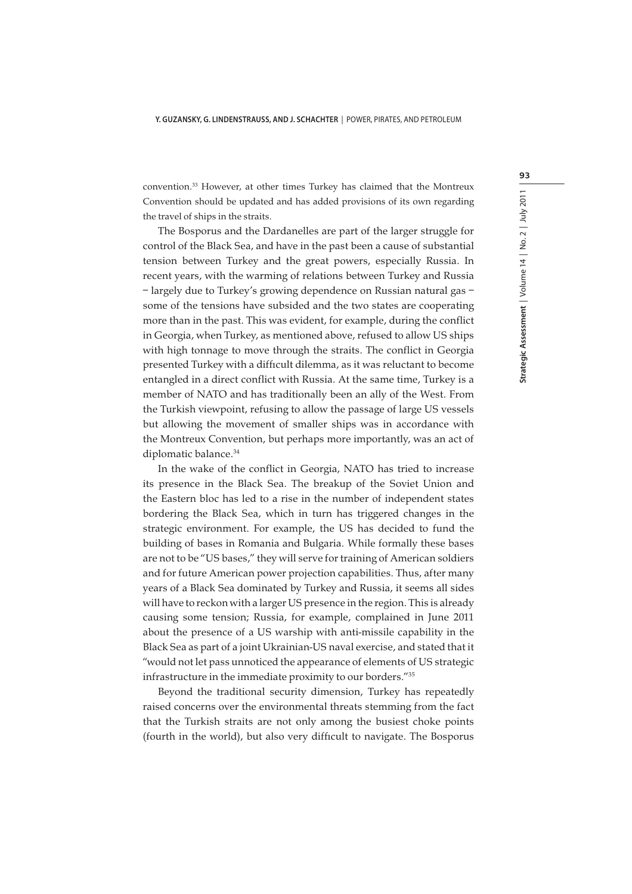convention.33 However, at other times Turkey has claimed that the Montreux Convention should be updated and has added provisions of its own regarding the travel of ships in the straits.

The Bosporus and the Dardanelles are part of the larger struggle for control of the Black Sea, and have in the past been a cause of substantial tension between Turkey and the great powers, especially Russia. In recent years, with the warming of relations between Turkey and Russia – largely due to Turkey's growing dependence on Russian natural gas – some of the tensions have subsided and the two states are cooperating more than in the past. This was evident, for example, during the conflict in Georgia, when Turkey, as mentioned above, refused to allow US ships with high tonnage to move through the straits. The conflict in Georgia presented Turkey with a difficult dilemma, as it was reluctant to become entangled in a direct conflict with Russia. At the same time, Turkey is a member of NATO and has traditionally been an ally of the West. From the Turkish viewpoint, refusing to allow the passage of large US vessels but allowing the movement of smaller ships was in accordance with the Montreux Convention, but perhaps more importantly, was an act of diplomatic balance.<sup>34</sup>

In the wake of the conflict in Georgia, NATO has tried to increase its presence in the Black Sea. The breakup of the Soviet Union and the Eastern bloc has led to a rise in the number of independent states bordering the Black Sea, which in turn has triggered changes in the strategic environment. For example, the US has decided to fund the building of bases in Romania and Bulgaria. While formally these bases are not to be "US bases," they will serve for training of American soldiers and for future American power projection capabilities. Thus, after many years of a Black Sea dominated by Turkey and Russia, it seems all sides will have to reckon with a larger US presence in the region. This is already causing some tension; Russia, for example, complained in June 2011 about the presence of a US warship with anti-missile capability in the Black Sea as part of a joint Ukrainian-US naval exercise, and stated that it "would not let pass unnoticed the appearance of elements of US strategic infrastructure in the immediate proximity to our borders."35

Beyond the traditional security dimension, Turkey has repeatedly raised concerns over the environmental threats stemming from the fact that the Turkish straits are not only among the busiest choke points (fourth in the world), but also very difficult to navigate. The Bosporus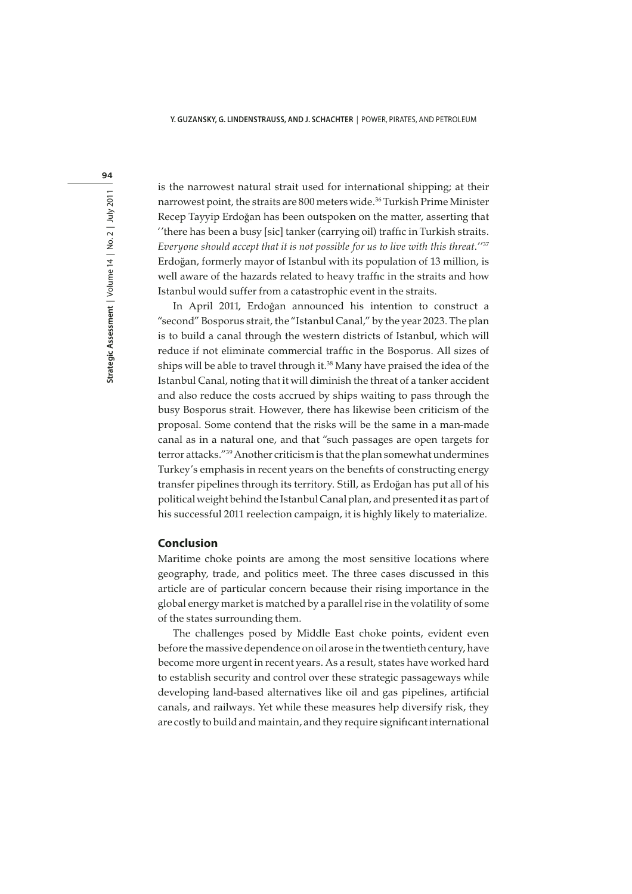94

is the narrowest natural strait used for international shipping; at their narrowest point, the straits are 800 meters wide.<sup>36</sup> Turkish Prime Minister Recep Tayyip Erdoğan has been outspoken on the matter, asserting that ''there has been a busy [sic] tanker (carrying oil) traffic in Turkish straits. Everyone should accept that it is not possible for us to live with this threat."<sup>37</sup> Erdoğan, formerly mayor of Istanbul with its population of 13 million, is well aware of the hazards related to heavy traffic in the straits and how Istanbul would suffer from a catastrophic event in the straits.

In April 2011, Erdoğan announced his intention to construct a "second" Bosporus strait, the "Istanbul Canal," by the year 2023. The plan is to build a canal through the western districts of Istanbul, which will reduce if not eliminate commercial traffic in the Bosporus. All sizes of ships will be able to travel through it.<sup>38</sup> Many have praised the idea of the Istanbul Canal, noting that it will diminish the threat of a tanker accident and also reduce the costs accrued by ships waiting to pass through the busy Bosporus strait. However, there has likewise been criticism of the proposal. Some contend that the risks will be the same in a man-made canal as in a natural one, and that "such passages are open targets for terror attacks."39 Another criticism is that the plan somewhat undermines Turkey's emphasis in recent years on the benefits of constructing energy transfer pipelines through its territory. Still, as Erdoğan has put all of his political weight behind the Istanbul Canal plan, and presented it as part of his successful 2011 reelection campaign, it is highly likely to materialize.

## **Conclusion**

Maritime choke points are among the most sensitive locations where geography, trade, and politics meet. The three cases discussed in this article are of particular concern because their rising importance in the global energy market is matched by a parallel rise in the volatility of some of the states surrounding them.

The challenges posed by Middle East choke points, evident even before the massive dependence on oil arose in the twentieth century, have become more urgent in recent years. As a result, states have worked hard to establish security and control over these strategic passageways while developing land-based alternatives like oil and gas pipelines, artificial canals, and railways. Yet while these measures help diversify risk, they are costly to build and maintain, and they require significant international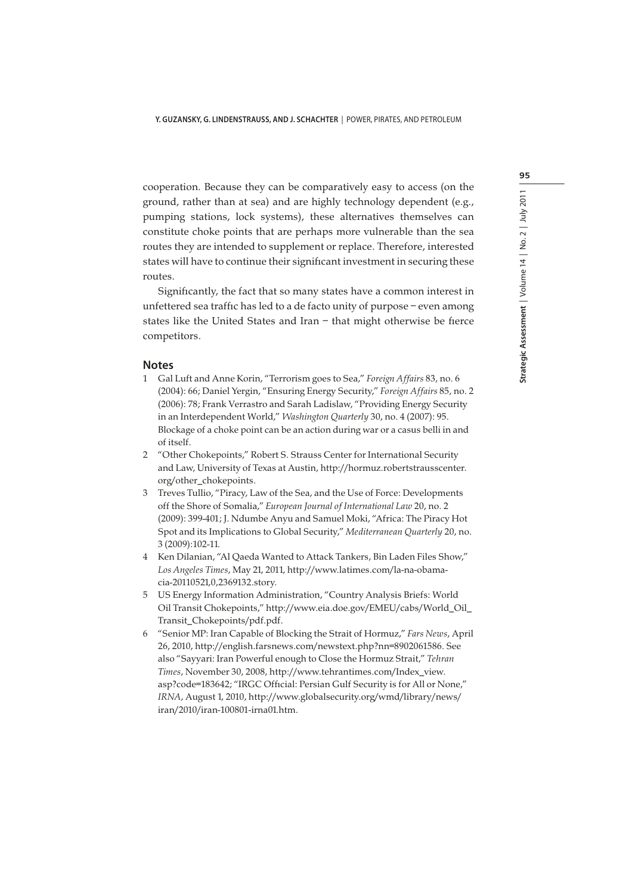cooperation. Because they can be comparatively easy to access (on the ground, rather than at sea) and are highly technology dependent (e.g., pumping stations, lock systems), these alternatives themselves can constitute choke points that are perhaps more vulnerable than the sea routes they are intended to supplement or replace. Therefore, interested states will have to continue their significant investment in securing these routes.

Significantly, the fact that so many states have a common interest in unfettered sea traffic has led to a de facto unity of purpose – even among states like the United States and Iran – that might otherwise be fierce competitors.

#### **Notes**

- 1 Gal Luft and Anne Korin, "Terrorism goes to Sea," Foreign Affairs 83, no. 6 (2004): 66; Daniel Yergin, "Ensuring Energy Security," Foreign Affairs 85, no. 2 (2006): 78; Frank Verrastro and Sarah Ladislaw, "Providing Energy Security in an Interdependent World," Washington Quarterly 30, no. 4 (2007): 95. Blockage of a choke point can be an action during war or a casus belli in and of itself.
- 2 "Other Chokepoints," Robert S. Strauss Center for International Security and Law, University of Texas at Austin, http://hormuz.robertstrausscenter. org/other\_chokepoints.
- 3 Treves Tullio, "Piracy, Law of the Sea, and the Use of Force: Developments off the Shore of Somalia," European Journal of International Law 20, no. 2 (2009): 399-401; J. Ndumbe Anyu and Samuel Moki, "Africa: The Piracy Hot Spot and its Implications to Global Security," Mediterranean Quarterly 20, no. 3 (2009):102-11.
- 4 Ken Dilanian, "Al Qaeda Wanted to Attack Tankers, Bin Laden Files Show," Los Angeles Times, May 21, 2011, http://www.latimes.com/la-na-obamacia-20110521,0,2369132.story.
- 5 US Energy Information Administration, "Country Analysis Briefs: World Oil Transit Chokepoints," http://www.eia.doe.gov/EMEU/cabs/World\_Oil\_ Transit\_Chokepoints/pdf.pdf.
- 6 "Senior MP: Iran Capable of Blocking the Strait of Hormuz," Fars News, April 26, 2010, http://english.farsnews.com/newstext.php?nn=8902061586. See also "Sayyari: Iran Powerful enough to Close the Hormuz Strait," Tehran Times, November 30, 2008, http://www.tehrantimes.com/Index\_view. asp?code=183642; "IRGC Official: Persian Gulf Security is for All or None," IRNA, August 1, 2010, http://www.globalsecurity.org/wmd/library/news/ iran/2010/iran-100801-irna01.htm.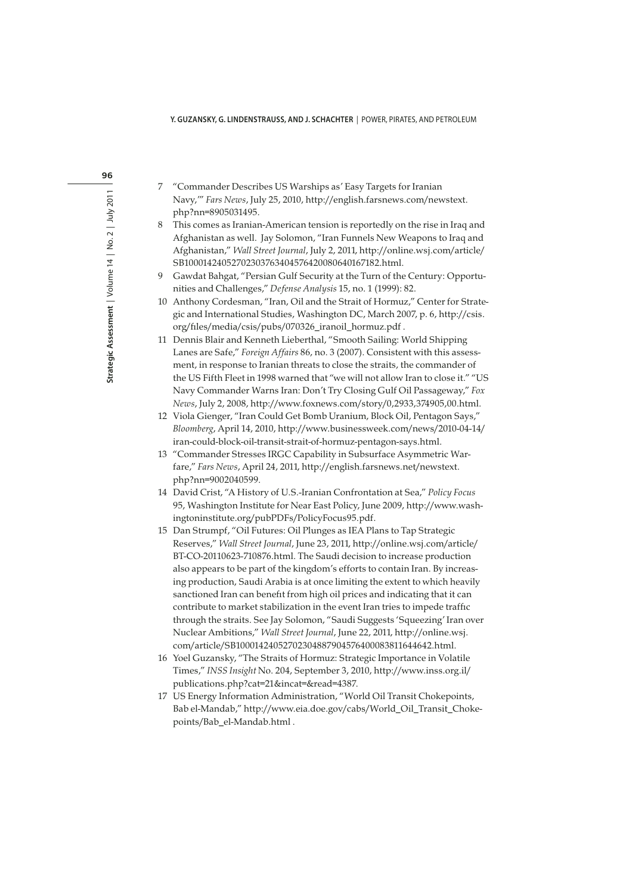- 7 "Commander Describes US Warships as' Easy Targets for Iranian Navy,'" Fars News, July 25, 2010, http://english.farsnews.com/newstext. php?nn=8905031495.
- 8 This comes as Iranian-American tension is reportedly on the rise in Iraq and Afghanistan as well. Jay Solomon, "Iran Funnels New Weapons to Iraq and Afghanistan," Wall Street Journal, July 2, 2011, http://online.wsj.com/article/ SB10001424052702303763404576420080640167182.html.
- 9 Gawdat Bahgat, "Persian Gulf Security at the Turn of the Century: Opportunities and Challenges," Defense Analysis 15, no. 1 (1999): 82.
- 10 Anthony Cordesman, "Iran, Oil and the Strait of Hormuz," Center for Strategic and International Studies, Washington DC, March 2007, p. 6, http://csis. org/files/media/csis/pubs/070326\_iranoil\_hormuz.pdf .
- 11 Dennis Blair and Kenneth Lieberthal, "Smooth Sailing: World Shipping Lanes are Safe," Foreign Affairs 86, no. 3 (2007). Consistent with this assessment, in response to Iranian threats to close the straits, the commander of the US Fifth Fleet in 1998 warned that "we will not allow Iran to close it." "US Navy Commander Warns Iran: Don't Try Closing Gulf Oil Passageway," Fox News, July 2, 2008, http://www.foxnews.com/story/0,2933,374905,00.html.
- 12 Viola Gienger, "Iran Could Get Bomb Uranium, Block Oil, Pentagon Says," Bloomberg, April 14, 2010, http://www.businessweek.com/news/2010-04-14/ iran-could-block-oil-transit-strait-of-hormuz-pentagon-says.html.
- 13 "Commander Stresses IRGC Capability in Subsurface Asymmetric Warfare," Fars News, April 24, 2011, http://english.farsnews.net/newstext. php?nn=9002040599.
- 14 David Crist, "A History of U.S.-Iranian Confrontation at Sea," Policy Focus 95, Washington Institute for Near East Policy, June 2009, http://www.washingtoninstitute.org/pubPDFs/PolicyFocus95.pdf.
- 15 Dan Strumpf, "Oil Futures: Oil Plunges as IEA Plans to Tap Strategic Reserves," Wall Street Journal, June 23, 2011, http://online.wsj.com/article/ BT-CO-20110623-710876.html. The Saudi decision to increase production also appears to be part of the kingdom's efforts to contain Iran. By increasing production, Saudi Arabia is at once limiting the extent to which heavily sanctioned Iran can benefit from high oil prices and indicating that it can contribute to market stabilization in the event Iran tries to impede traffic through the straits. See Jay Solomon, "Saudi Suggests 'Squeezing' Iran over Nuclear Ambitions," Wall Street Journal, June 22, 2011, http://online.wsj. com/article/SB10001424052702304887904576400083811644642.html.
- 16 Yoel Guzansky, "The Straits of Hormuz: Strategic Importance in Volatile Times," INSS Insight No. 204, September 3, 2010, http://www.inss.org.il/ publications.php?cat=21&incat=&read=4387.
- 17 US Energy Information Administration, "World Oil Transit Chokepoints, Bab el-Mandab," http://www.eia.doe.gov/cabs/World\_Oil\_Transit\_Chokepoints/Bab\_el-Mandab.html .

96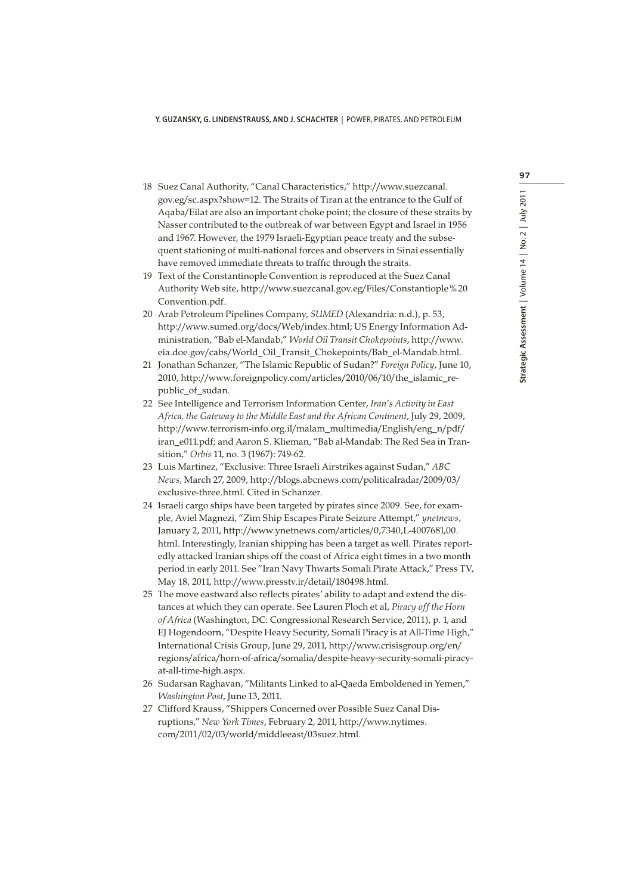- 18 Suez Canal Authority, "Canal Characteristics," http://www.suezcanal. gov.eg/sc.aspx?show=12. The Straits of Tiran at the entrance to the Gulf of Aqaba/Eilat are also an important choke point; the closure of these straits by Nasser contributed to the outbreak of war between Egypt and Israel in 1956 and 1967. However, the 1979 Israeli-Egyptian peace treaty and the subsequent stationing of multi-national forces and observers in Sinai essentially have removed immediate threats to traffic through the straits.
- 19 Text of the Constantinople Convention is reproduced at the Suez Canal Authority Web site, http://www.suezcanal.gov.eg/Files/Constantiople%20 Convention.pdf.
- 20 Arab Petroleum Pipelines Company, SUMED (Alexandria: n.d.), p. 53, http://www.sumed.org/docs/Web/index.html; US Energy Information Administration, "Bab el-Mandab," World Oil Transit Chokepoints, http://www. eia.doe.gov/cabs/World\_Oil\_Transit\_Chokepoints/Bab\_el-Mandab.html.
- 21 Jonathan Schanzer, "The Islamic Republic of Sudan?" Foreign Policy, June 10, 2010, http://www.foreignpolicy.com/articles/2010/06/10/the\_islamic\_republic\_of\_sudan.
- 22 See Intelligence and Terrorism Information Center, Iran's Activity in East Africa, the Gateway to the Middle East and the African Continent, July 29, 2009, http://www.terrorism-info.org.il/malam\_multimedia/English/eng\_n/pdf/ iran\_e011.pdf; and Aaron S. Klieman, "Bab al-Mandab: The Red Sea in Transition," Orbis 11, no. 3 (1967): 749-62.
- 23 Luis Martinez, "Exclusive: Three Israeli Airstrikes against Sudan," ABC News, March 27, 2009, http://blogs.abcnews.com/politicalradar/2009/03/ exclusive-three.html. Cited in Schanzer.
- 24 Israeli cargo ships have been targeted by pirates since 2009. See, for example, Aviel Magnezi, "Zim Ship Escapes Pirate Seizure Attempt," ynetnews, January 2, 2011, http://www.ynetnews.com/articles/0,7340,L-4007681,00. html. Interestingly, Iranian shipping has been a target as well. Pirates reportedly attacked Iranian ships off the coast of Africa eight times in a two month period in early 2011. See "Iran Navy Thwarts Somali Pirate Attack," Press TV, May 18, 2011, http://www.presstv.ir/detail/180498.html.
- 25 The move eastward also reflects pirates' ability to adapt and extend the distances at which they can operate. See Lauren Ploch et al, Piracy off the Horn of Africa (Washington, DC: Congressional Research Service, 2011), p. 1, and EJ Hogendoorn, "Despite Heavy Security, Somali Piracy is at All-Time High," International Crisis Group, June 29, 2011, http://www.crisisgroup.org/en/ regions/africa/horn-of-africa/somalia/despite-heavy-security-somali-piracyat-all-time-high.aspx.
- 26 Sudarsan Raghavan, "Militants Linked to al-Qaeda Emboldened in Yemen," Washington Post, June 13, 2011.
- 27 Clifford Krauss, "Shippers Concerned over Possible Suez Canal Disruptions," New York Times, February 2, 2011, http://www.nytimes. com/2011/02/03/world/middleeast/03suez.html.

97